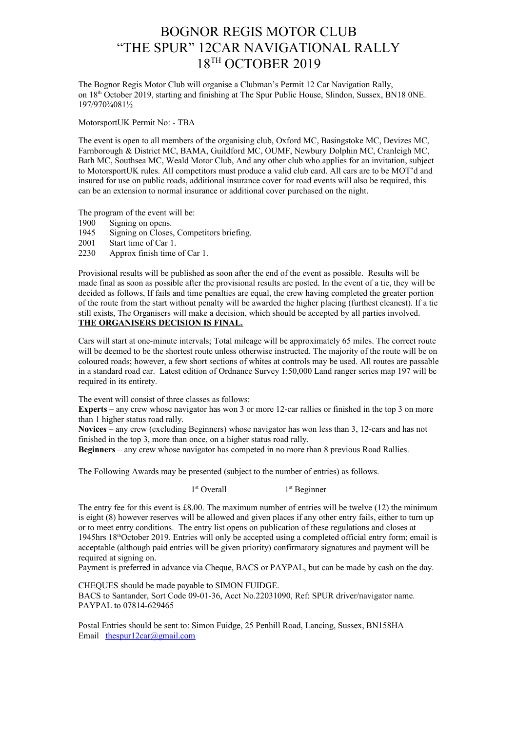# BOGNOR REGIS MOTOR CLUB "THE SPUR" 12CAR NAVIGATIONAL RALLY 18TH OCTOBER 2019

The Bognor Regis Motor Club will organise a Clubman's Permit 12 Car Navigation Rally, on 18th October 2019, starting and finishing at The Spur Public House, Slindon, Sussex, BN18 0NE. 197/970¾081½

MotorsportUK Permit No: - TBA

The event is open to all members of the organising club, Oxford MC, Basingstoke MC, Devizes MC, Farnborough & District MC, BAMA, Guildford MC, OUMF, Newbury Dolphin MC, Cranleigh MC, Bath MC, Southsea MC, Weald Motor Club, And any other club who applies for an invitation, subject to MotorsportUK rules. All competitors must produce a valid club card. All cars are to be MOT'd and insured for use on public roads, additional insurance cover for road events will also be required, this can be an extension to normal insurance or additional cover purchased on the night.

The program of the event will be:<br>1900 Signing on opens.

- 1900 Signing on opens.<br>1945 Signing on Closes
- Signing on Closes, Competitors briefing.
- 2001 Start time of Car 1.
- 2230 Approx finish time of Car 1.

Provisional results will be published as soon after the end of the event as possible. Results will be made final as soon as possible after the provisional results are posted. In the event of a tie, they will be decided as follows, If fails and time penalties are equal, the crew having completed the greater portion of the route from the start without penalty will be awarded the higher placing (furthest cleanest). If a tie still exists, The Organisers will make a decision, which should be accepted by all parties involved. **THE ORGANISERS DECISION IS FINAL.**

Cars will start at one-minute intervals; Total mileage will be approximately 65 miles. The correct route will be deemed to be the shortest route unless otherwise instructed. The majority of the route will be on coloured roads; however, a few short sections of whites at controls may be used. All routes are passable in a standard road car. Latest edition of Ordnance Survey 1:50,000 Land ranger series map 197 will be required in its entirety.

The event will consist of three classes as follows:

**Experts** – any crew whose navigator has won 3 or more 12-car rallies or finished in the top 3 on more than 1 higher status road rally.

**Novices** – any crew (excluding Beginners) whose navigator has won less than 3, 12-cars and has not finished in the top 3, more than once, on a higher status road rally.

**Beginners** – any crew whose navigator has competed in no more than 8 previous Road Rallies.

The Following Awards may be presented (subject to the number of entries) as follows.

#### 1 st Overall 1

 $1<sup>st</sup>$  Beginner

The entry fee for this event is £8.00. The maximum number of entries will be twelve (12) the minimum is eight (8) however reserves will be allowed and given places if any other entry fails, either to turn up or to meet entry conditions. The entry list opens on publication of these regulations and closes at 1945hrs 18<sup>th</sup>October 2019. Entries will only be accepted using a completed official entry form; email is acceptable (although paid entries will be given priority) confirmatory signatures and payment will be required at signing on.

Payment is preferred in advance via Cheque, BACS or PAYPAL, but can be made by cash on the day.

CHEQUES should be made payable to SIMON FUIDGE. BACS to Santander, Sort Code 09-01-36, Acct No.22031090, Ref: SPUR driver/navigator name. PAYPAL to 07814-629465

Postal Entries should be sent to: Simon Fuidge, 25 Penhill Road, Lancing, Sussex, BN158HA Email [thespur12car@gmail.com](mailto:thespur12car@gmail.com)